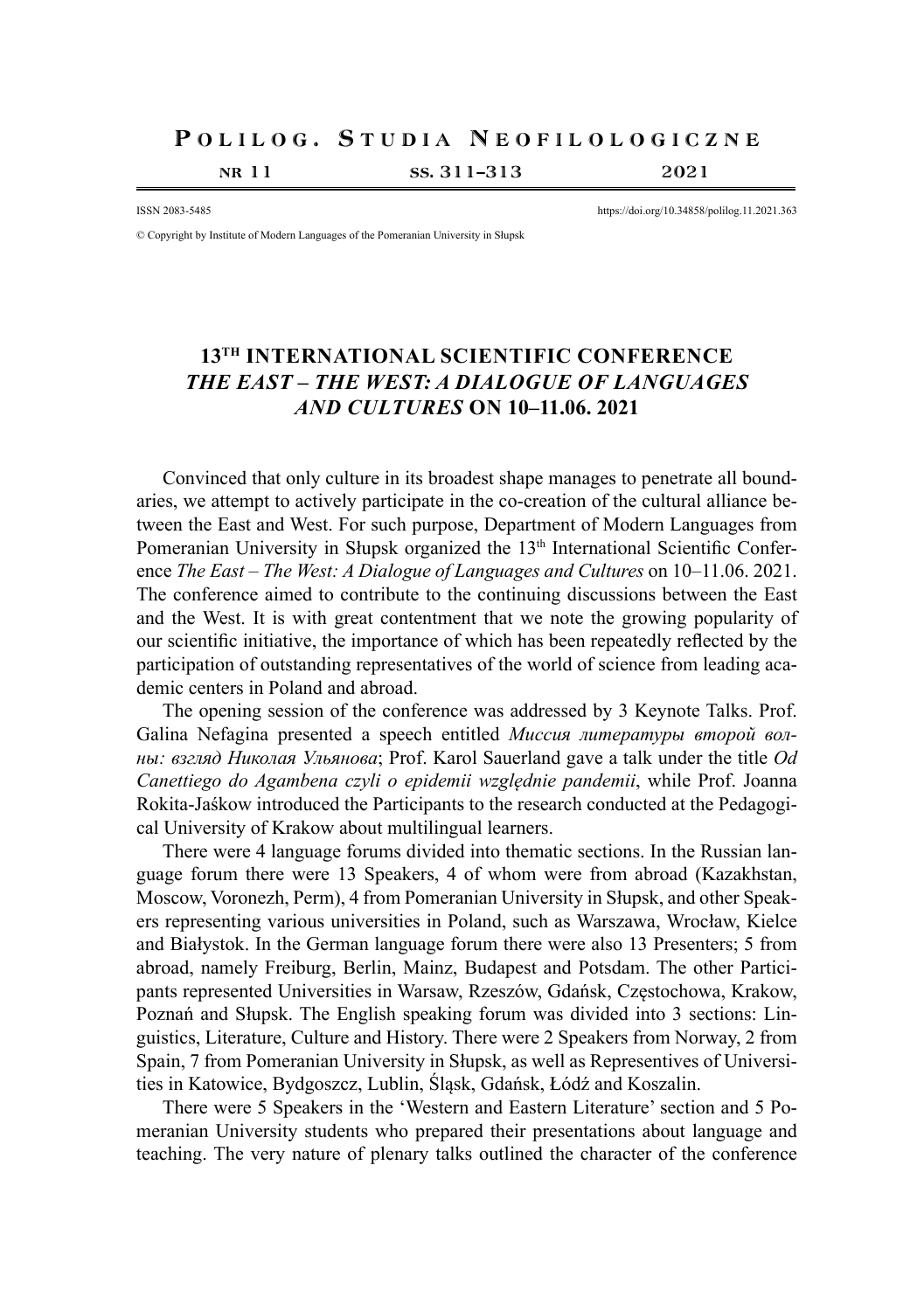## POLILOG. STUDIA NEOFILOLOGICZNE

nr 11 ss. 311–313 2021

ISSN 2083-5485 https://doi.org/10.34858/polilog.11.2021.363

© Copyright by Institute of Modern Languages of the Pomeranian University in Słupsk

## **13TH INTERNATIONAL SCIENTIFIC CONFERENCE**  *THE EAST – THE WEST: A DIALOGUE OF LANGUAGES AND CULTURES* **ON 10–11.06. 2021**

Convinced that only culture in its broadest shape manages to penetrate all boundaries, we attempt to actively participate in the co-creation of the cultural alliance between the East and West. For such purpose, Department of Modern Languages from Pomeranian University in Słupsk organized the 13<sup>th</sup> International Scientific Conference *The East – The West: A Dialogue of Languages and Cultures* on 10–11.06. 2021. The conference aimed to contribute to the continuing discussions between the East and the West. It is with great contentment that we note the growing popularity of our scientific initiative, the importance of which has been repeatedly reflected by the participation of outstanding representatives of the world of science from leading academic centers in Poland and abroad.

The opening session of the conference was addressed by 3 Keynote Talks. Prof. Galina Nefagina presented a speech entitled *Миссия литературы второй волны: взгляд Николая Ульянова*; Prof. Karol Sauerland gave a talk under the title *Od Canettiego do Agambena czyli o epidemii względnie pandemii*, while Prof. Joanna Rokita-Jaśkow introduced the Participants to the research conducted at the Pedagogical University of Krakow about multilingual learners.

There were 4 language forums divided into thematic sections. In the Russian language forum there were 13 Speakers, 4 of whom were from abroad (Kazakhstan, Moscow, Voronezh, Perm), 4 from Pomeranian University in Słupsk, and other Speakers representing various universities in Poland, such as Warszawa, Wrocław, Kielce and Białystok. In the German language forum there were also 13 Presenters; 5 from abroad, namely Freiburg, Berlin, Mainz, Budapest and Potsdam. The other Participants represented Universities in Warsaw, Rzeszów, Gdańsk, Częstochowa, Krakow, Poznań and Słupsk. The English speaking forum was divided into 3 sections: Linguistics, Literature, Culture and History. There were 2 Speakers from Norway, 2 from Spain, 7 from Pomeranian University in Słupsk, as well as Representives of Universities in Katowice, Bydgoszcz, Lublin, Śląsk, Gdańsk, Łódź and Koszalin.

There were 5 Speakers in the 'Western and Eastern Literature' section and 5 Pomeranian University students who prepared their presentations about language and teaching. The very nature of plenary talks outlined the character of the conference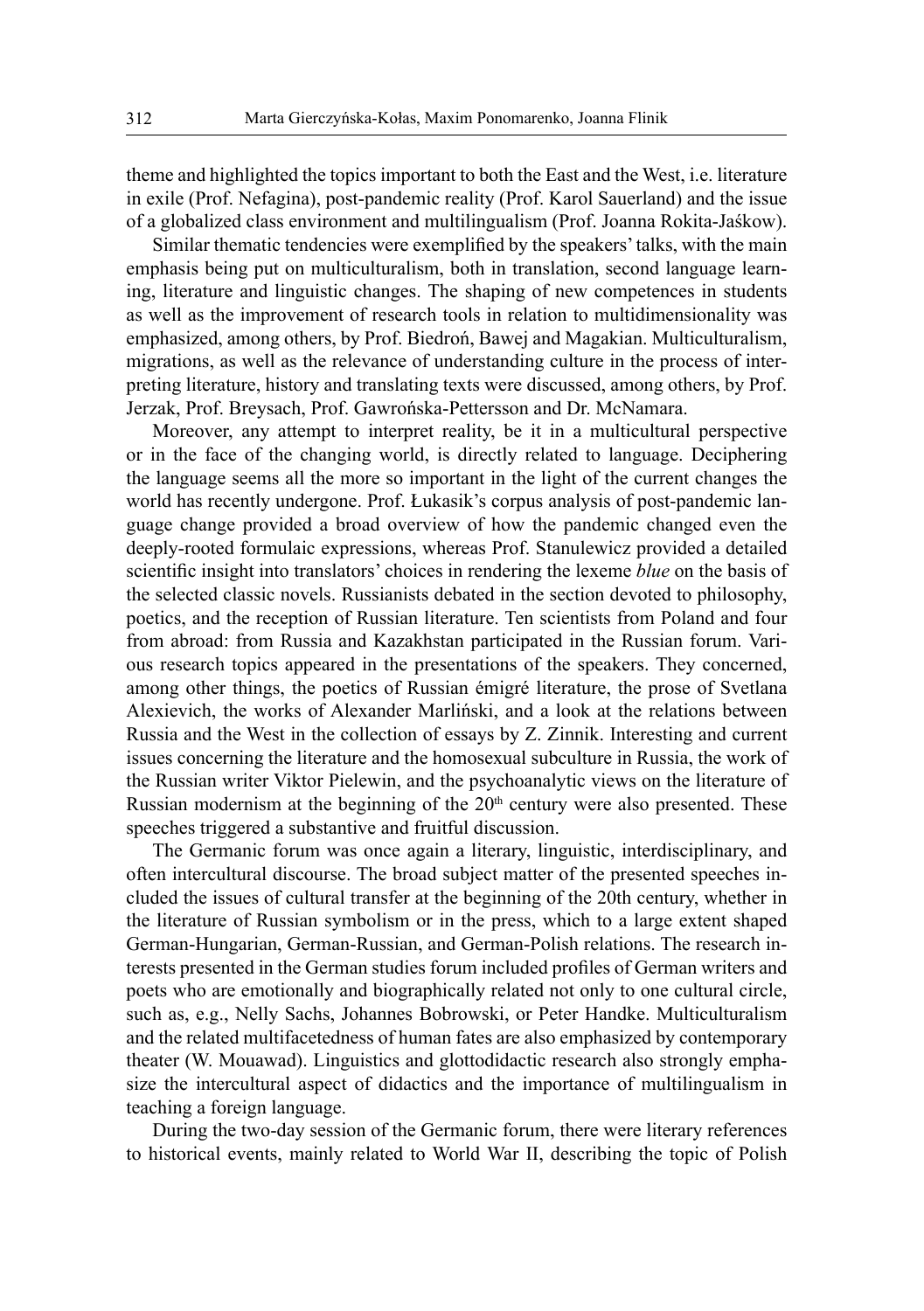theme and highlighted the topics important to both the East and the West, i.e. literature in exile (Prof. Nefagina), post-pandemic reality (Prof. Karol Sauerland) and the issue of a globalized class environment and multilingualism (Prof. Joanna Rokita-Jaśkow).

Similar thematic tendencies were exemplified by the speakers' talks, with the main emphasis being put on multiculturalism, both in translation, second language learning, literature and linguistic changes. The shaping of new competences in students as well as the improvement of research tools in relation to multidimensionality was emphasized, among others, by Prof. Biedroń, Bawej and Magakian. Multiculturalism, migrations, as well as the relevance of understanding culture in the process of interpreting literature, history and translating texts were discussed, among others, by Prof. Jerzak, Prof. Breysach, Prof. Gawrońska-Pettersson and Dr. McNamara.

Moreover, any attempt to interpret reality, be it in a multicultural perspective or in the face of the changing world, is directly related to language. Deciphering the language seems all the more so important in the light of the current changes the world has recently undergone. Prof. Łukasik's corpus analysis of post-pandemic language change provided a broad overview of how the pandemic changed even the deeply-rooted formulaic expressions, whereas Prof. Stanulewicz provided a detailed scientific insight into translators' choices in rendering the lexeme *blue* on the basis of the selected classic novels. Russianists debated in the section devoted to philosophy, poetics, and the reception of Russian literature. Ten scientists from Poland and four from abroad: from Russia and Kazakhstan participated in the Russian forum. Various research topics appeared in the presentations of the speakers. They concerned, among other things, the poetics of Russian émigré literature, the prose of Svetlana Alexievich, the works of Alexander Marliński, and a look at the relations between Russia and the West in the collection of essays by Z. Zinnik. Interesting and current issues concerning the literature and the homosexual subculture in Russia, the work of the Russian writer Viktor Pielewin, and the psychoanalytic views on the literature of Russian modernism at the beginning of the  $20<sup>th</sup>$  century were also presented. These speeches triggered a substantive and fruitful discussion.

The Germanic forum was once again a literary, linguistic, interdisciplinary, and often intercultural discourse. The broad subject matter of the presented speeches included the issues of cultural transfer at the beginning of the 20th century, whether in the literature of Russian symbolism or in the press, which to a large extent shaped German-Hungarian, German-Russian, and German-Polish relations. The research interests presented in the German studies forum included profiles of German writers and poets who are emotionally and biographically related not only to one cultural circle, such as, e.g., Nelly Sachs, Johannes Bobrowski, or Peter Handke. Multiculturalism and the related multifacetedness of human fates are also emphasized by contemporary theater (W. Mouawad). Linguistics and glottodidactic research also strongly emphasize the intercultural aspect of didactics and the importance of multilingualism in teaching a foreign language.

During the two-day session of the Germanic forum, there were literary references to historical events, mainly related to World War II, describing the topic of Polish